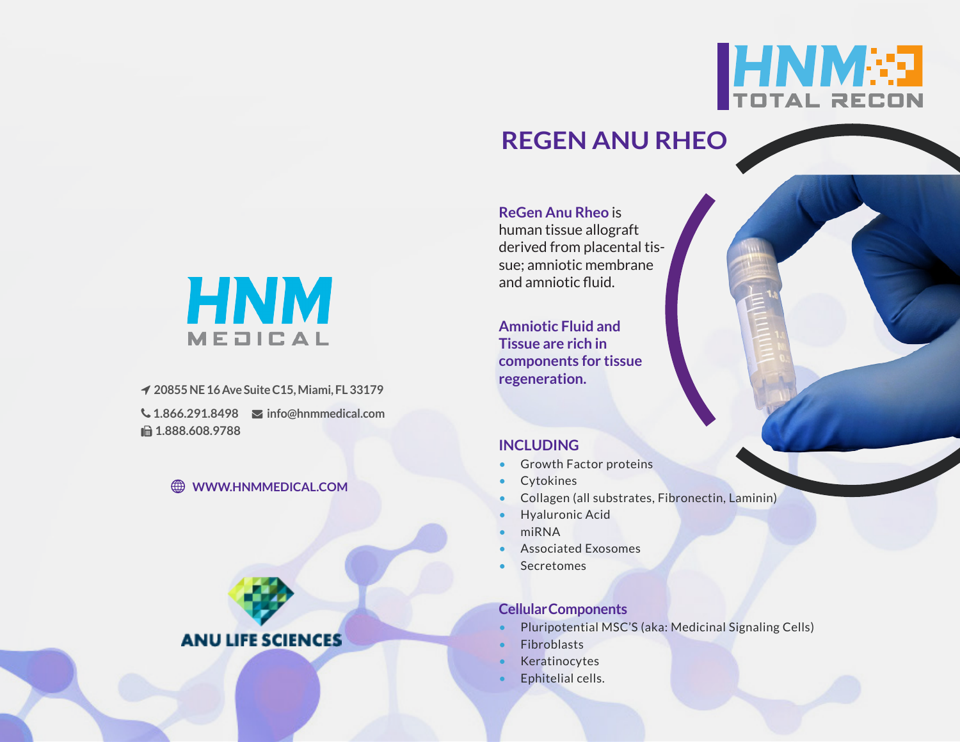

# **REGEN ANU RHEO**



 **20855 NE 16 Ave Suite C15, Miami, FL 33179 1.866.291.8498 info@hnmmedical.com ■ 1.888.608.9788** 

### **WWW.HNMMEDICAL.COM**



**ReGen Anu Rheo** is human tissue allograft derived from placental tissue; amniotic membrane and amniotic fluid.

**Amniotic Fluid and Tissue are rich in components for tissue regeneration.**

### **INCLUDING**

- Growth Factor proteins
- Cytokines
- Collagen (all substrates, Fibronectin, Laminin)
- Hyaluronic Acid
- miRNA
- Associated Exosomes
- **Secretomes**

# **Cellular Components**

- Pluripotential MSC'S (aka: Medicinal Signaling Cells)
- **Fibroblasts**
- **Keratinocytes**
- Ephitelial cells.